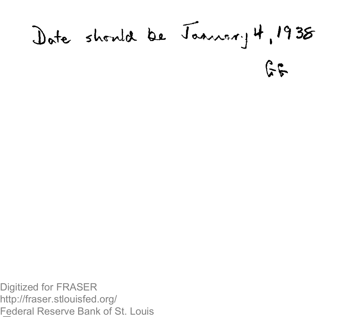## Date should be January 4, 1938  $55$

Digitized for FRASER http://fraser.stlouisfed.org/ Federal Reserve Bank of St. Louis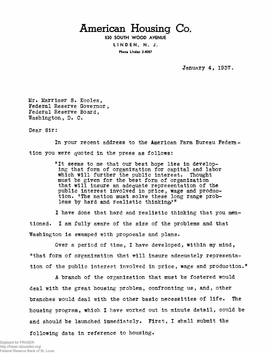## American Housing Co.

**530 SOUTH WOOD AVENUE LINDEN , N. J.** Phone Linden 2-4057

January 4, 1937

Mr. Marrimer S. Eccles, Federal Reserve Governor , Federal Reserve Board, Washington, D. C.

Dear Sir:

In your recent address to the American Farm Bureau Federation you were quoted in the press as follows:

> "It seems to me that our best hope lies in developing that form of organization for capital and labor which will further the public interest. Thought must be given for the best form of organization that will insure an adequate representation of the public interest involved in price, wage and production. 'The nation must solve these long range problems by hard and realistic thinking<sup>1</sup><sup>#</sup>

I have done that hard and realistic thinking that you mentioned. I am fully aware of the size of the problems and that Washington is swamped with proposals and plans.

Over a period of time, I have developed, within my mind, "that form of organization that will insure adequately representation of the public interest involved in price, wage and production."

A branch of the organization that must be fostered would deal with the great housing problem, confronting us, and, other branches would deal with the other basic necessities of life. The housing program, which I have worked out in minute detail, could be and should be launched immediately. First, I shall submit the

following data in reference to housing.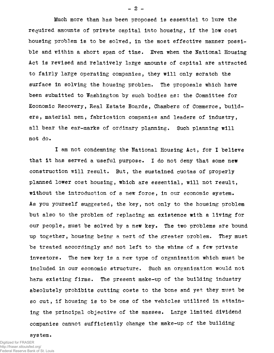Much more than has been proposed is essential to lure the required amounts of private capital into housing, if the low cost housing problem is to be solved, in the most effective manner possible and within a short span of time. Even when the National Housing Act is revised and relatively large amounts of capital are attracted to fairly large operating companies, they will only scratch the surface in solving the housing problem. The proposals which have been submitted to Washington by such bodies as: the Committee for Economic Recovery, Real Estate Boards, Chambers of Commerce, builders, material men, fabrication companies and leaders of industry, all bear the ear-marks of ordinary planning. Such planning will not do.

I am not condemning the National Housing Act, for I believe that it has served a useful purpose. I do not deny that some new construction will result. But, the sustained quotas of properly planned lower cost housing, which are essential, will not result, without the introduction of a new force, in our economic system. As you yourself suggested, the key, not only to the housing problem but also to the problem of replacing an existence with a living for our people, must be solved by a new key. The two problems are bound up together, housing being a part of the greater problem. They must be treated accordingly and not left to the whims of a few private investors. The new key is a new type of organization which must be included in our economic structure. Such an organization would not harm existing firms. The present make-up of the building industry absolutely prohibits cutting costs to the bone and yet they must be so cut, if housing is to be one of the vehicles utilized in attaining the principal objective of the masses. Large limited dividend companies cannot sufficiently change the make-up of the building

system.

 $- 2 -$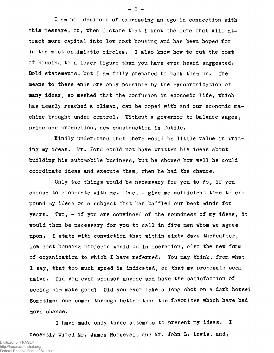I am not desirous of expressing an ego in connection with this message, or, when I state that I know the lure that will attract more capital into low cost housing and has been hoped for in the most optimistic circles. I also know how to cut the cost of housing to a lower figure than you have ever heard suggested. Bold statements, but I am fully prepared to back them up. The means to these ends are only possible by the synchronization of many ideas, so meshed that the confusion in economic life, which has nearly reached a climax, can be coped with and our economic machine brought under control. Without a governor to balance wages, price and production, new construction is futile.

Kindly understand that there would be little value in writing my ideas. Mr. Ford could not have written his ideas about building his automobile business, but he showed how well he could coordinate ideas and execute them, when he had the chance.

Only two things would be necessary for you to do, if you choose to cooperate with me. One,  $-$  give me sufficient time to expound my ideas on a subject that has baffled our best minds for years. Two, - if you are convinced of the soundness of my ideas, it would then be necessary for you to call in five men whom we agree upon. I state with conviction that within sixty days thereafter, low cost housing projects would be in operation, also the new form of organization to which I have referred. You may think, from what I say, that too much speed is indicated, or that my proposals seem naive. Did you ever sponsor anyone and have the satisfaction of seeing him make good? Did you ever take a long shot on a dark horse? Sometimes one comes through better than the favorites which have had more chance.

I have made only three attempts to present my ideas. I recently wired Mr. James Roosevelt and Mr. John L. Lewis, and,

 $-3-$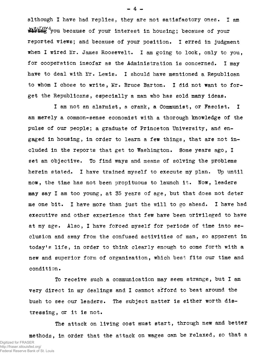although I have had replies, they are not satisfactory ones. I am WRUING you because of your interest in housing; because of your reported views; and because of your position. I erred in judgment when I wired Mr. James Roosevelt. I am going to look, only to you, for cooperation insofar as the Administration is concerned. I may have to deal with Mr. Lewis. I should have mentioned a Republican to whom I chose to write, Mr. Bruce Barton. I did not want to forget the Republicans, especially a man who has sold many ideas.

I am not an alarmist, a crank, a Communist, or Fascist. I am merely a common-sense economist with a thorough knowledge of the pulse of our people; a graduate of Princeton University, and engaged in housing, in order to learn a few things, that are not included in the reports that get to Washington. Some years ago, I set an objective. To find ways and means of solving the problems herein stated. I have trained myself to execute my plan. Up until now, the time has not been propituous to launch it. Now, leaders may say I am too young, at 35 years of age, but that does not deter me one bit. I have more than just the will to go ahead. I have had executive and other experience that few have been privileged to have at my age. Also, I have forced myself for periods of time into seclusion and away from the confused activities of man, so apparent in today's life, in order to think clearly enough to come forth with a new and superior form of organization, which best fits our time and condition.

To receive such a communication may seem strange, but I am very direct in my dealings and I cannot afford to beat around the bush to see our leaders. The subject matter is either worth distressing, or it is not.

The attack on living cost must start, through new and better methods, in order that the attack on wages can be relaxed, so that a Digitized for FRASER http://fraser.stlouisfed.org/ Federal Reserve Bank of St. Louis

- 4 -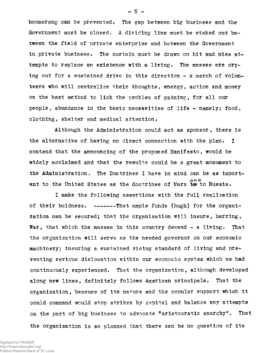boomerang can be prevented. The gap between big business and the Government must be closed. A dividing line must be staked out between the field of private enterprise and between the Government in private business. The curtain must be drawn on hit and miss attempts to replace an existence with a living. The masses are crying out for a sustained drive in this direction - a march of volunteers who will centralize their thoughts, energy, action and money on the best method to lick the problem of gaining, for all our people, abundance in the basic necessities of life - namely; food, clothing, shelter and medical attention.

Although the Administration could act as sponsor , there is the alternative of having no direct connection with the plan. I contend that the announcing of the proposed Manifesto, would be widely acclaimed and that the results could be a great monument to the Administration. The Doctrines I have in mind can be as important to the United States as the doctrines of Marx the to Russia.

I make the following assertions with the full realisation of their boldness.  $---$ That ample funds (hugh) for the organization can be secured; that the organization will insure, barring, War, that which the masses in this country demand - a living. That the organization will serve as the needed governor on our economic machinery; insuring a sustained rising standard of living and preventing serious dislocation within our economic system which we had continuously experienced. That the organization, although developed along new lines, definitely follows American principals. That the organization, because of its nature and the popular support which it could command would stop strikes by capital and balance any attempts on the part of big business to advocate "aristocratic anarchy". That

the organization is so planned that there can be no question of its

Digitized for FRASER http://fraser.stlouisfed.org/ Federal Reserve Bank of St. Louis  $-5 -$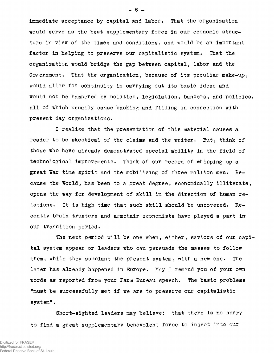immediate acceptance by capital and labor. That the organization would serve as the best supplementary force in our economic structure in view of the times and conditions, and would be an important factor in helping to preserve our capitalistic system. That the organization would bridge the gap between capital, labor and the Government. That the organization, because of its peculiar make-up, would allow for continuity in carrying out its basic ideas and would not be hampered by politics, legislation, bankers, and policies, all of which usually cause backing and filling in connection with present day organizations.

I realize that the presentation of this material causes a reader to be skeptical of the claims and the writer. But, think of those who have already demonstrated special ability in the field of technological improvements. Think of our record of whipping up a great War time spirit and the mobilizing of three million men. Because the World, has been to a great degree, economically illiterate, opens the way for development of skill in the direction of human relations. It is high time that such skill should be uncovered. Recently brain trusters and armchair economists have played a part in our transition period.

The next period will be one when, either, saviors of our capital system appear or leaders who can persuade the masses to follow them, while they supplant the present system, with a new one. The later has already happened in Europe. May I remind you of your own words as reported from your Farm Bureau speech. The basic problems "must be successfully met if we are to preserve our capitalistic system".

Short-sighted leaders may believe: that there is no hurry to find a great supplementary benevolent force to inject into our

Digitized for FRASER http://fraser.stlouisfed.org/ Federal Reserve Bank of St. Louis  $- 6 -$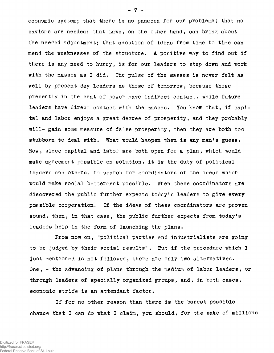economic system; that there is no panacea for our problems; that no saviors are needed; that Laws, on the other hand, can bring about the needed adjustment; that adoption of ideas from time to time can mend the weaknesses of the structure. A positive way to find out if there is any need to hurry, is for our leaders to step down and work with the masses as I did. The pulse of the masses is never felt as well by present day leaders as those of tomorrow, because those presently in the seat of power have indirect contact, while future leaders have direct contact with the masses. You know that, if capital and labor enjoys a great degree of prosperity, and they probably will- gain some measure of false prosperity, then they are both too stubborn to deal with. What would happen then is any man's guess. Now, since capital and labor are both open for a plan, which would make agreement possible on solution, it is the duty of political leaders and others, to search for coordinators of the ideas which would make social betterment possible. When these coordinators are discovered the public further expects today's leaders to give every possible cooperation. If the ideas of these coordinators are proven sound, then, in that case, the public further expects from today's leaders help in the form of launching the plans.

From now on, "political parties and industrialists are going to be judged by their social results". But if the procedure which I just mentioned is not followed, there are only two alternatives. One,  $-$  the advancing of plans through the medium of labor leaders, or through leaders of specially organized groups, and, in both cases, economic strife is an attendant factor.

If for no other reason than there is the barest possible chance that I can do what I claim, you should, for the sake of millions

- 7 -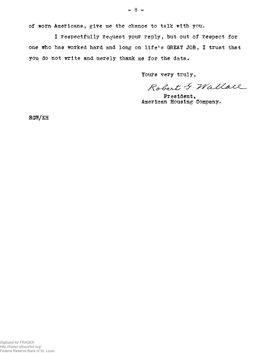of worn Americans, give me the chance to talk with you.

I respectfully request your reply, but out of respect for one who has worked hard and long on life's GREAT JOB, I trust that you do not write and merely thank me for the data.

Yours very truly,

Robert G. Wallace

President, American Housing Company.

RGW/EH